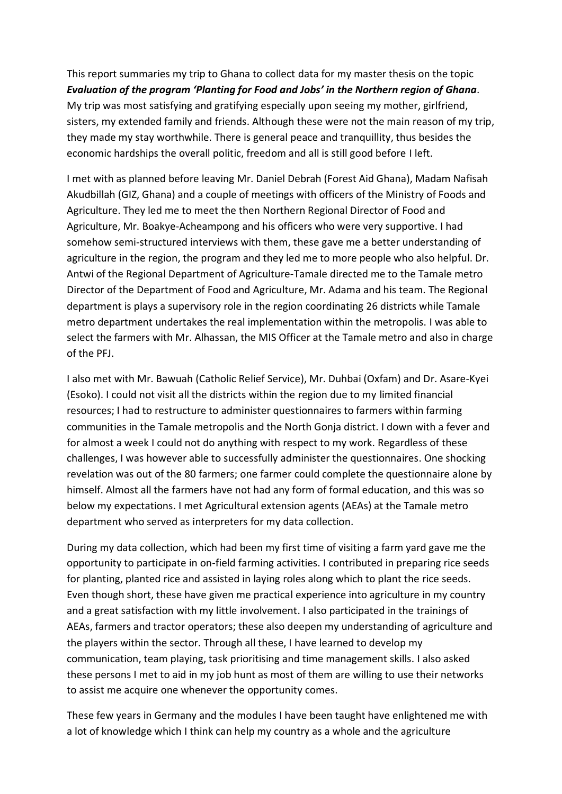This report summaries my trip to Ghana to collect data for my master thesis on the topic *Evaluation of the program 'Planting for Food and Jobs' in the Northern region of Ghana*. My trip was most satisfying and gratifying especially upon seeing my mother, girlfriend, sisters, my extended family and friends. Although these were not the main reason of my trip, they made my stay worthwhile. There is general peace and tranquillity, thus besides the economic hardships the overall politic, freedom and all is still good before I left.

I met with as planned before leaving Mr. Daniel Debrah (Forest Aid Ghana), Madam Nafisah Akudbillah (GIZ, Ghana) and a couple of meetings with officers of the Ministry of Foods and Agriculture. They led me to meet the then Northern Regional Director of Food and Agriculture, Mr. Boakye-Acheampong and his officers who were very supportive. I had somehow semi-structured interviews with them, these gave me a better understanding of agriculture in the region, the program and they led me to more people who also helpful. Dr. Antwi of the Regional Department of Agriculture-Tamale directed me to the Tamale metro Director of the Department of Food and Agriculture, Mr. Adama and his team. The Regional department is plays a supervisory role in the region coordinating 26 districts while Tamale metro department undertakes the real implementation within the metropolis. I was able to select the farmers with Mr. Alhassan, the MIS Officer at the Tamale metro and also in charge of the PFJ.

I also met with Mr. Bawuah (Catholic Relief Service), Mr. Duhbai (Oxfam) and Dr. Asare-Kyei (Esoko). I could not visit all the districts within the region due to my limited financial resources; I had to restructure to administer questionnaires to farmers within farming communities in the Tamale metropolis and the North Gonja district. I down with a fever and for almost a week I could not do anything with respect to my work. Regardless of these challenges, I was however able to successfully administer the questionnaires. One shocking revelation was out of the 80 farmers; one farmer could complete the questionnaire alone by himself. Almost all the farmers have not had any form of formal education, and this was so below my expectations. I met Agricultural extension agents (AEAs) at the Tamale metro department who served as interpreters for my data collection.

During my data collection, which had been my first time of visiting a farm yard gave me the opportunity to participate in on-field farming activities. I contributed in preparing rice seeds for planting, planted rice and assisted in laying roles along which to plant the rice seeds. Even though short, these have given me practical experience into agriculture in my country and a great satisfaction with my little involvement. I also participated in the trainings of AEAs, farmers and tractor operators; these also deepen my understanding of agriculture and the players within the sector. Through all these, I have learned to develop my communication, team playing, task prioritising and time management skills. I also asked these persons I met to aid in my job hunt as most of them are willing to use their networks to assist me acquire one whenever the opportunity comes.

These few years in Germany and the modules I have been taught have enlightened me with a lot of knowledge which I think can help my country as a whole and the agriculture